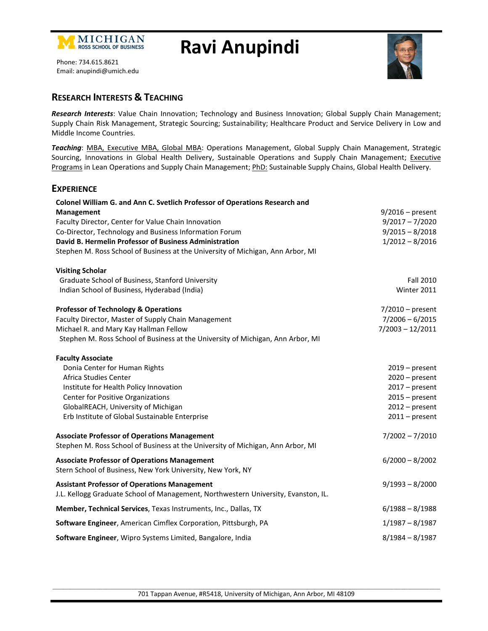

# **Ravi Anupindi**



Phone: 734.615.8621 Email: anupindi@umich.edu

## **RESEARCH INTERESTS & TEACHING**

*Research Interests*: Value Chain Innovation; Technology and Business Innovation; Global Supply Chain Management; Supply Chain Risk Management, Strategic Sourcing; Sustainability; Healthcare Product and Service Delivery in Low and Middle Income Countries.

*Teaching*: MBA, Executive MBA, Global MBA: Operations Management, Global Supply Chain Management, Strategic Sourcing, Innovations in Global Health Delivery, Sustainable Operations and Supply Chain Management; Executive Programs in Lean Operations and Supply Chain Management; PhD: Sustainable Supply Chains, Global Health Delivery.

#### **EXPERIENCE**

| Colonel William G. and Ann C. Svetlich Professor of Operations Research and                                                               |                    |
|-------------------------------------------------------------------------------------------------------------------------------------------|--------------------|
| Management                                                                                                                                | $9/2016$ – present |
| Faculty Director, Center for Value Chain Innovation                                                                                       | $9/2017 - 7/2020$  |
| Co-Director, Technology and Business Information Forum                                                                                    | $9/2015 - 8/2018$  |
| David B. Hermelin Professor of Business Administration                                                                                    | $1/2012 - 8/2016$  |
| Stephen M. Ross School of Business at the University of Michigan, Ann Arbor, MI                                                           |                    |
| <b>Visiting Scholar</b>                                                                                                                   |                    |
| Graduate School of Business, Stanford University                                                                                          | Fall 2010          |
| Indian School of Business, Hyderabad (India)                                                                                              | Winter 2011        |
| <b>Professor of Technology &amp; Operations</b>                                                                                           | $7/2010$ – present |
| Faculty Director, Master of Supply Chain Management                                                                                       | $7/2006 - 6/2015$  |
| Michael R. and Mary Kay Hallman Fellow                                                                                                    | $7/2003 - 12/2011$ |
| Stephen M. Ross School of Business at the University of Michigan, Ann Arbor, MI                                                           |                    |
| <b>Faculty Associate</b>                                                                                                                  |                    |
| Donia Center for Human Rights                                                                                                             | $2019$ – present   |
| Africa Studies Center                                                                                                                     | $2020 - present$   |
| Institute for Health Policy Innovation                                                                                                    | $2017 - present$   |
| <b>Center for Positive Organizations</b>                                                                                                  | $2015 - present$   |
| GlobalREACH, University of Michigan                                                                                                       | $2012$ – present   |
| Erb Institute of Global Sustainable Enterprise                                                                                            | $2011 - present$   |
| <b>Associate Professor of Operations Management</b>                                                                                       | $7/2002 - 7/2010$  |
| Stephen M. Ross School of Business at the University of Michigan, Ann Arbor, MI                                                           |                    |
| <b>Associate Professor of Operations Management</b>                                                                                       | $6/2000 - 8/2002$  |
| Stern School of Business, New York University, New York, NY                                                                               |                    |
| <b>Assistant Professor of Operations Management</b><br>J.L. Kellogg Graduate School of Management, Northwestern University, Evanston, IL. | $9/1993 - 8/2000$  |
| Member, Technical Services, Texas Instruments, Inc., Dallas, TX                                                                           | $6/1988 - 8/1988$  |
| Software Engineer, American Cimflex Corporation, Pittsburgh, PA                                                                           | $1/1987 - 8/1987$  |
| Software Engineer, Wipro Systems Limited, Bangalore, India                                                                                | $8/1984 - 8/1987$  |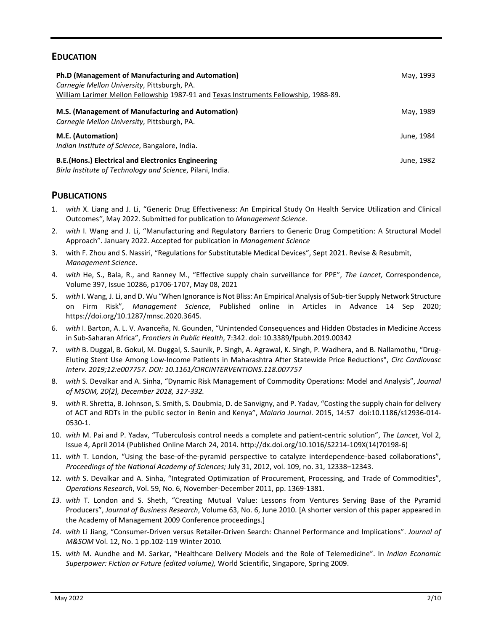## **EDUCATION**

| Ph.D (Management of Manufacturing and Automation)<br>Carnegie Mellon University, Pittsburgh, PA.<br>William Larimer Mellon Fellowship 1987-91 and Texas Instruments Fellowship, 1988-89. | May, 1993  |
|------------------------------------------------------------------------------------------------------------------------------------------------------------------------------------------|------------|
| M.S. (Management of Manufacturing and Automation)<br>Carnegie Mellon University, Pittsburgh, PA.                                                                                         | May, 1989  |
| M.E. (Automation)<br>Indian Institute of Science, Bangalore, India.                                                                                                                      | June, 1984 |
| <b>B.E.</b> (Hons.) Electrical and Electronics Engineering<br>Birla Institute of Technology and Science, Pilani, India.                                                                  | June, 1982 |

#### **PUBLICATIONS**

- 1. *with* X. Liang and J. Li, "Generic Drug Effectiveness: An Empirical Study On Health Service Utilization and Clinical Outcomes*"*, May 2022. Submitted for publication to *Management Science*.
- 2. *with* I. Wang and J. Li, "Manufacturing and Regulatory Barriers to Generic Drug Competition: A Structural Model Approach". January 2022. Accepted for publication in *Management Science*
- 3. with F. Zhou and S. Nassiri, "Regulations for Substitutable Medical Devices", Sept 2021. Revise & Resubmit, *Management Science*.
- 4. *with* He, S., Bala, R., and Ranney M., "Effective supply chain surveillance for PPE", *The Lancet,* Correspondence, Volume 397, Issue 10286, p1706-1707, May 08, 2021
- 5. *with* I. Wang, J. Li, and D. Wu "When Ignorance is Not Bliss: An Empirical Analysis of Sub-tier Supply Network Structure on Firm Risk", *Management Science*, Published online in Articles in Advance 14 Sep 2020; https://doi.org/10.1287/mnsc.2020.3645*.*
- 6. *with* I. Barton, A. L. V. Avanceña, N. Gounden, "Unintended Consequences and Hidden Obstacles in Medicine Access in Sub-Saharan Africa", *Frontiers in Public Health*, 7:342. doi: 10.3389/fpubh.2019.00342
- 7. *with* B. Duggal, B. Gokul, M. Duggal, S. Saunik, P. Singh, A. Agrawal, K. Singh, P. Wadhera, and B. Nallamothu, "Drug-Eluting Stent Use Among Low-Income Patients in Maharashtra After Statewide Price Reductions", *Circ Cardiovasc Interv. 2019;12:e007757. DOI: 10.1161/CIRCINTERVENTIONS.118.007757*
- 8. *with* S. Devalkar and A. Sinha, "Dynamic Risk Management of Commodity Operations: Model and Analysis", *Journal of MSOM, 20(2), December 2018, 317-332.*
- 9. *with* R. Shretta, B. Johnson, S. Smith, S. Doubmia, D. de Sanvigny, and P. Yadav, "Costing the supply chain for delivery of ACT and RDTs in the public sector in Benin and Kenya", *Malaria Journal*. 2015, 14:57 doi:10.1186/s12936-014- 0530-1.
- 10. *with* M. Pai and P. Yadav, "Tuberculosis control needs a complete and patient-centric solution", *The Lancet*, Vol 2, Issue 4, April 2014 (Published Online March 24, 2014. http://dx.doi.org/10.1016/S2214-109X(14)70198-6)
- 11. *with* T. London, "Using the base-of-the-pyramid perspective to catalyze interdependence-based collaborations", *Proceedings of the National Academy of Sciences;* July 31, 2012, vol. 109, no. 31, 12338–12343.
- 12. *with* S. Devalkar and A. Sinha, "Integrated Optimization of Procurement, Processing, and Trade of Commodities", *Operations Research*, Vol. 59, No. 6, November-December 2011, pp. 1369-1381.
- *13. with* T. London and S. Sheth, "Creating Mutual Value: Lessons from Ventures Serving Base of the Pyramid Producers", *Journal of Business Research*, Volume 63, No. 6, June 2010. [A shorter version of this paper appeared in the Academy of Management 2009 Conference proceedings.]
- *14. with* Li Jiang, "Consumer-Driven versus Retailer-Driven Search: Channel Performance and Implications". *Journal of M&SOM* Vol. 12, No. 1 pp.102-119 Winter 2010*.*
- 15. *with* M. Aundhe and M. Sarkar, "Healthcare Delivery Models and the Role of Telemedicine". In *Indian Economic Superpower: Fiction or Future (edited volume),* World Scientific, Singapore, Spring 2009.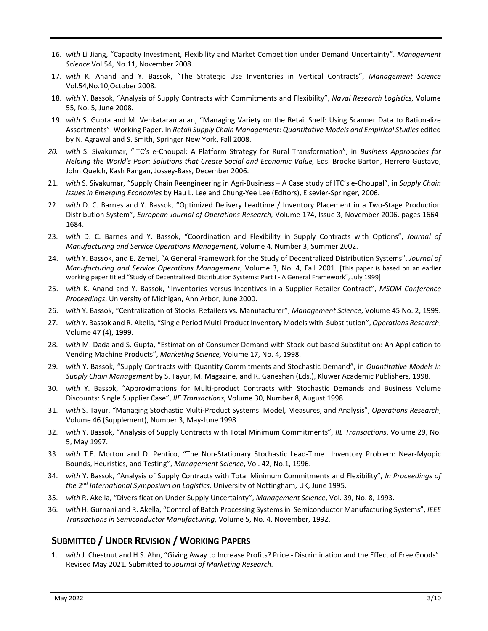- 16. *with* Li Jiang, "Capacity Investment, Flexibility and Market Competition under Demand Uncertainty". *Management Science* Vol.54, No.11, November 2008.
- 17. *with* K. Anand and Y. Bassok, "The Strategic Use Inventories in Vertical Contracts", *Management Science*  Vol.54,No.10,October 2008*.*
- 18. *with* Y. Bassok, "Analysis of Supply Contracts with Commitments and Flexibility", *Naval Research Logistics*, Volume 55, No. 5, June 2008.
- 19. *with* S. Gupta and M. Venkataramanan, "Managing Variety on the Retail Shelf: Using Scanner Data to Rationalize Assortments". Working Paper. In *Retail Supply Chain Management: Quantitative Models and Empirical Studies* edited by N. Agrawal and S. Smith, Springer New York, Fall 2008.
- *20. with* S. Sivakumar, "ITC's e-Choupal: A Platform Strategy for Rural Transformation", in *Business Approaches for Helping the World's Poor: Solutions that Create Social and Economic Value, Eds. Brooke Barton, Herrero Gustavo,* John Quelch, Kash Rangan, Jossey-Bass, December 2006.
- 21. *with* S. Sivakumar, "Supply Chain Reengineering in Agri-Business A Case study of ITC's e-Choupal", in *Supply Chain Issues in Emerging Economies* by Hau L. Lee and Chung-Yee Lee (Editors), Elsevier-Springer, 2006.
- 22. *with* D. C. Barnes and Y. Bassok, "Optimized Delivery Leadtime / Inventory Placement in a Two-Stage Production Distribution System", *European Journal of Operations Research,* Volume 174, Issue 3, November 2006, pages 1664- 1684.
- 23. *with* D. C. Barnes and Y. Bassok, "Coordination and Flexibility in Supply Contracts with Options", *Journal of Manufacturing and Service Operations Management*, Volume 4, Number 3, Summer 2002.
- 24. *with* Y. Bassok, and E. Zemel, "A General Framework for the Study of Decentralized Distribution Systems", *Journal of Manufacturing and Service Operations Management*, Volume 3, No. 4, Fall 2001. [This paper is based on an earlier working paper titled "Study of Decentralized Distribution Systems: Part I - A General Framework", July 1999]
- 25. *with* K. Anand and Y. Bassok, "Inventories versus Incentives in a Supplier-Retailer Contract", *MSOM Conference Proceedings*, University of Michigan, Ann Arbor, June 2000.
- 26. *with* Y. Bassok, "Centralization of Stocks: Retailers vs. Manufacturer", *Management Science*, Volume 45 No. 2, 1999.
- 27. *with* Y. Bassok and R. Akella, "Single Period Multi-Product Inventory Models with Substitution", *Operations Research*, Volume 47 (4), 1999.
- 28. *with* M. Dada and S. Gupta, "Estimation of Consumer Demand with Stock-out based Substitution: An Application to Vending Machine Products", *Marketing Science,* Volume 17, No. 4, 1998.
- 29. *with* Y. Bassok, "Supply Contracts with Quantity Commitments and Stochastic Demand", in *Quantitative Models in Supply Chain Management* by S. Tayur, M. Magazine, and R. Ganeshan (Eds.), Kluwer Academic Publishers, 1998.
- 30. *with* Y. Bassok, "Approximations for Multi-product Contracts with Stochastic Demands and Business Volume Discounts: Single Supplier Case", *IIE Transactions*, Volume 30, Number 8, August 1998.
- 31. *with* S. Tayur, "Managing Stochastic Multi-Product Systems: Model, Measures, and Analysis", *Operations Research*, Volume 46 (Supplement), Number 3, May-June 1998.
- 32. *with* Y. Bassok, "Analysis of Supply Contracts with Total Minimum Commitments", *IIE Transactions*, Volume 29, No. 5, May 1997.
- 33. *with* T.E. Morton and D. Pentico, "The Non-Stationary Stochastic Lead-Time Inventory Problem: Near-Myopic Bounds, Heuristics, and Testing", *Management Science*, Vol. 42, No.1, 1996.
- 34. *with* Y. Bassok, "Analysis of Supply Contracts with Total Minimum Commitments and Flexibility", *In Proceedings of the 2nd International Symposium on Logistics.* University of Nottingham, UK, June 1995.
- 35. *with* R. Akella, "Diversification Under Supply Uncertainty", *Management Science*, Vol. 39, No. 8, 1993.
- 36. *with* H. Gurnani and R. Akella, "Control of Batch Processing Systems in Semiconductor Manufacturing Systems", *IEEE Transactions in Semiconductor Manufacturing*, Volume 5, No. 4, November, 1992.

## **SUBMITTED / UNDER REVISION / WORKING PAPERS**

1. *with* J. Chestnut and H.S. Ahn, "Giving Away to Increase Profits? Price - Discrimination and the Effect of Free Goods". Revised May 2021. Submitted to *Journal of Marketing Research.*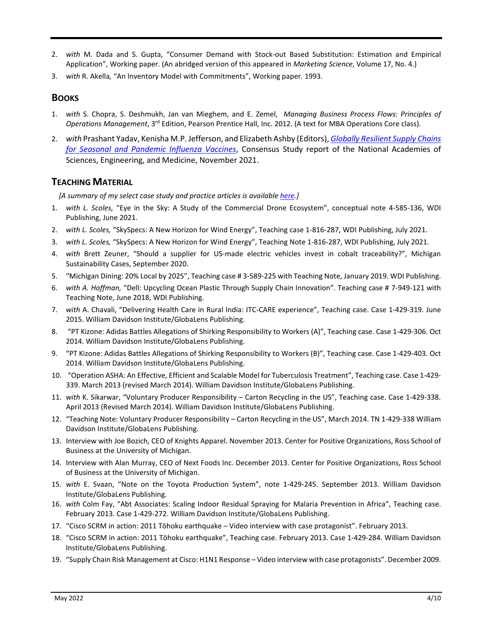- 2. *with* M. Dada and S. Gupta, "Consumer Demand with Stock-out Based Substitution: Estimation and Empirical Application", Working paper. (An abridged version of this appeared in *Marketing Science*, Volume 17, No. 4.)
- 3. *with* R. Akella*,* "An Inventory Model with Commitments", Working paper*.* 1993.

## **BOOKS**

- 1. *with* S. Chopra, S. Deshmukh, Jan van Mieghem, and E. Zemel, *Managing Business Process Flows: Principles of*  Operations Management, 3<sup>rd</sup> Edition, Pearson Prentice Hall, Inc. 2012. (A text for MBA Operations Core class).
- 2. *with* Prashant Yadav, Kenisha M.P. Jefferson, and Elizabeth Ashby (Editors), *[Globally Resilient Supply Chains](https://www.nap.edu/read/26285/chapter/1)  [for Seasonal and Pandemic Influenza Vaccines](https://www.nap.edu/read/26285/chapter/1)*, Consensus Study report of the National Academies of Sciences, Engineering, and Medicine, November 2021.

## **TEACHING MATERIAL**

 *[A summary of my select case study and practice articles is availabl[e here.](https://www.dropbox.com/s/3oc99uojfwilwa7/Anupindi-Writings%28v6%29.pdf?dl=0)]*

- 1. *with L. Scoles,* "Eye in the Sky: A Study of the Commercial Drone Ecosystem", conceptual note 4-585-136, WDI Publishing, June 2021.
- 2. *with L. Scoles,* "SkySpecs: A New Horizon for Wind Energy", Teaching case 1-816-287, WDI Publishing, July 2021.
- 3. *with L. Scoles,* "SkySpecs: A New Horizon for Wind Energy", Teaching Note 1-816-287, WDI Publishing, July 2021.
- 4. *with* Brett Zeuner, "Should a supplier for US-made electric vehicles invest in cobalt traceability?", Michigan Sustainability Cases, September 2020.
- 5. "Michigan Dining: 20% Local by 2025", Teaching case # 3-589-225 with Teaching Note, January 2019. WDI Publishing.
- 6. *with A. Hoffman,* "Dell: Upcycling Ocean Plastic Through Supply Chain Innovation"*.* Teaching case # 7-949-121 with Teaching Note, June 2018, WDI Publishing.
- 7. *with* A. Chavali, "Delivering Health Care in Rural India: ITC-CARE experience", Teaching case. Case 1-429-319. June 2015. William Davidson Institute/GlobaLens Publishing.
- 8. "PT Kizone: Adidas Battles Allegations of Shirking Responsibility to Workers (A)", Teaching case. Case 1-429-306. Oct 2014. William Davidson Institute/GlobaLens Publishing.
- 9. "PT Kizone: Adidas Battles Allegations of Shirking Responsibility to Workers (B)", Teaching case. Case 1-429-403. Oct 2014. William Davidson Institute/GlobaLens Publishing.
- 10. "Operation ASHA: An Effective, Efficient and Scalable Model for Tuberculosis Treatment", Teaching case. Case 1-429- 339. March 2013 (revised March 2014). William Davidson Institute/GlobaLens Publishing.
- 11. *with* K. Sikarwar, "Voluntary Producer Responsibility Carton Recycling in the US", Teaching case. Case 1-429-338. April 2013 (Revised March 2014). William Davidson Institute/GlobaLens Publishing.
- 12. "Teaching Note: Voluntary Producer Responsibility Carton Recycling in the US", March 2014. TN 1-429-338 William Davidson Institute/GlobaLens Publishing.
- 13. Interview with Joe Bozich, CEO of Knights Apparel. November 2013. Center for Positive Organizations, Ross School of Business at the University of Michigan.
- 14. Interview with Alan Murray, CEO of Next Foods Inc. December 2013. Center for Positive Organizations, Ross School of Business at the University of Michigan.
- 15. *with* E. Svaan, "Note on the Toyota Production System", note 1-429-245. September 2013. William Davidson Institute/GlobaLens Publishing.
- 16. *with* Colm Fay, "Abt Associates: Scaling Indoor Residual Spraying for Malaria Prevention in Africa", Teaching case. February 2013. Case 1-429-272. William Davidson Institute/GlobaLens Publishing.
- 17. "Cisco SCRM in action: 2011 Tōhoku earthquake Video interview with case protagonist". February 2013.
- 18. "Cisco SCRM in action: 2011 Tōhoku earthquake", Teaching case. February 2013. Case 1-429-284. William Davidson Institute/GlobaLens Publishing.
- 19. "Supply Chain Risk Management at Cisco: H1N1 Response Video interview with case protagonists". December 2009.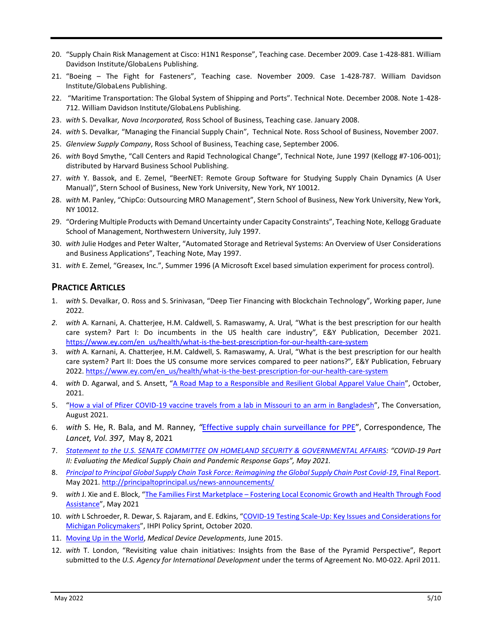- 20. "Supply Chain Risk Management at Cisco: H1N1 Response", Teaching case. December 2009. Case 1-428-881. William Davidson Institute/GlobaLens Publishing.
- 21. "Boeing The Fight for Fasteners", Teaching case. November 2009. Case 1-428-787. William Davidson Institute/GlobaLens Publishing.
- 22. "Maritime Transportation: The Global System of Shipping and Ports". Technical Note. December 2008. Note 1-428- 712. William Davidson Institute/GlobaLens Publishing.
- 23. *with* S. Devalkar*, Nova Incorporated,* Ross School of Business, Teaching case. January 2008.
- 24. *with* S. Devalkar*,* "Managing the Financial Supply Chain", Technical Note. Ross School of Business, November 2007.
- 25. *Glenview Supply Company*, Ross School of Business, Teaching case, September 2006.
- 26. *with* Boyd Smythe, "Call Centers and Rapid Technological Change", Technical Note, June 1997 (Kellogg #7-106-001); distributed by Harvard Business School Publishing.
- 27. *with* Y. Bassok, and E. Zemel, "BeerNET: Remote Group Software for Studying Supply Chain Dynamics (A User Manual)", Stern School of Business, New York University, New York, NY 10012.
- 28. *with* M. Panley, "ChipCo: Outsourcing MRO Management", Stern School of Business, New York University, New York, NY 10012.
- 29. "Ordering Multiple Products with Demand Uncertainty under Capacity Constraints", Teaching Note, Kellogg Graduate School of Management, Northwestern University, July 1997.
- 30. *with* Julie Hodges and Peter Walter, "Automated Storage and Retrieval Systems: An Overview of User Considerations and Business Applications", Teaching Note, May 1997.
- 31. *with* E. Zemel, "Greasex, Inc.", Summer 1996 (A Microsoft Excel based simulation experiment for process control).

#### **PRACTICE ARTICLES**

- 1. *with* S. Devalkar, O. Ross and S. Srinivasan, "Deep Tier Financing with Blockchain Technology", Working paper, June 2022.
- *2. with* A. Karnani, A. Chatterjee, H.M. Caldwell, S. Ramaswamy, A. Ural*,* "What is the best prescription for our health care system? Part I: Do incumbents in the US health care industry"*,* E&Y Publication, December 2021. [https://www.ey.com/en\\_us/health/what-is-the-best-prescription-for-our-health-care-system](https://www.ey.com/en_us/health/what-is-the-best-prescription-for-our-health-care-system)
- 3. *with* A. Karnani, A. Chatterjee, H.M. Caldwell, S. Ramaswamy, A. Ural, "What is the best prescription for our health care system? Part II: Does the US consume more services compared to peer nations?"*,* E&Y Publication, February 2022. [https://www.ey.com/en\\_us/health/what-is-the-best-prescription-for-our-health-care-system](https://www.ey.com/en_us/health/what-is-the-best-prescription-for-our-health-care-system)
- 4. *with* D. Agarwal, and S. Ansett, ["A Road Map to a Responsible and Resilient Global Apparel Value Chain"](https://papers.ssrn.com/sol3/papers.cfm?abstract_id=3916997), October, 2021.
- 5. ["How a vial of Pfizer COVID-19 vaccine travels from a lab in Missouri to an arm in Bangladesh"](https://theconversation.com/how-a-vial-of-pfizer-covid-19-vaccine-travels-from-a-lab-in-missouri-to-an-arm-in-bangladesh-162572), The Conversation, August 2021.
- 6. *with* S. He, R. Bala, and M. Ranney, *"*[Effective supply chain surveillance for PPE"](https://www.dropbox.com/s/3flafbvn1q9x0yx/17LancetSupplyChainCovid.pdf?dl=0), Correspondence, The *Lancet, Vol. 397*, May 8, 2021
- 7. *[Statement to the U.S. SENATE COMMITTEE ON HOMELAND SECURITY & GOVERNMENTAL AFFAIRS:](https://www.dropbox.com/s/m8i837qbx920f1k/Statement%20to%20Senate%20HS%20Committee%20by%20RAnupindi.pdf?dl=0) "COVID-19 Part II: Evaluating the Medical Supply Chain and Pandemic Response Gaps", May 2021.*
- 8. *[Principal to Principal Global Supply Chain Task Force: Reimagining the Global](https://tinyurl.com/rze9e9sn) Supply Chain Post Covid-19*, Final Report. May 2021.<http://principaltoprincipal.us/news-announcements/>
- 9. *with* J. Xie and E. Block, ["The Families First Marketplace Fostering Local Economic Growth and Health Through Food](https://www.dropbox.com/s/xej4v7myd8uqaui/Families%20First%20Marketplace%20Case%20Study%205-6-21.pdf?dl=0)  [Assistance"](https://www.dropbox.com/s/xej4v7myd8uqaui/Families%20First%20Marketplace%20Case%20Study%205-6-21.pdf?dl=0), May 2021
- 10. *with* L Schroeder, R. Dewar, S. Rajaram, and E. Edkins, ["COVID-19 Testing Scale-Up: Key Issues and Considerations for](https://www.dropbox.com/s/z99r64vnz0urh3a/FINAL_v2%20COVID%20Testing%20Brief%201.5.21.pdf?dl=0)  [Michigan Policymakers"](https://www.dropbox.com/s/z99r64vnz0urh3a/FINAL_v2%20COVID%20Testing%20Brief%201.5.21.pdf?dl=0), IHPI Policy Sprint, October 2020.
- 11. [Moving Up in the World,](http://www.medicaldevice-developments.com/features/featuremoving-up-in-the-world-the-challenges-of-manufacturing-4621502/) *Medical Device Developments*, June 2015.
- 12. *with* T. London, "Revisiting value chain initiatives: Insights from the Base of the Pyramid Perspective", Report submitted to the *U.S. Agency for International Development* under the terms of Agreement No. M0-022. April 2011.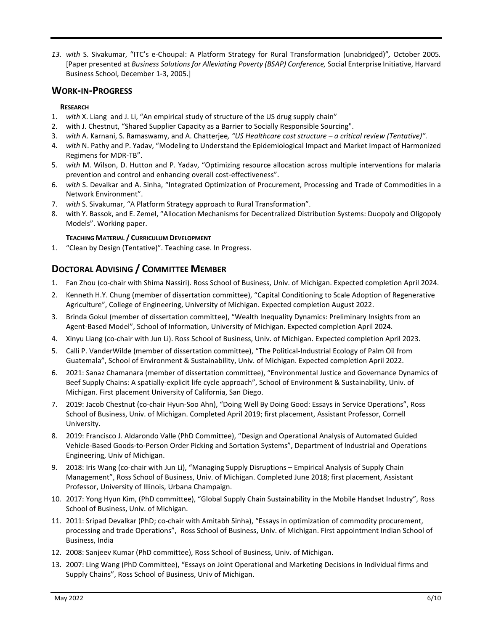*13. with* S. Sivakumar, "ITC's e-Choupal: A Platform Strategy for Rural Transformation (unabridged)"*,* October 2005*.*  [Paper presented at *Business Solutions for Alleviating Poverty (BSAP) Conference,* Social Enterprise Initiative, Harvard Business School, December 1-3, 2005.]

## **WORK-IN-PROGRESS**

#### **RESEARCH**

- 1. *with* X. Liang and J. Li, "An empirical study of structure of the US drug supply chain"
- 2. with J. Chestnut, "Shared Supplier Capacity as a Barrier to Socially Responsible Sourcing".
- 3. *with* A. Karnani, S. Ramaswamy, and A. Chatterjee*, "US Healthcare cost structure – a critical review (Tentative)".*
- 4. *with* N. Pathy and P. Yadav, "Modeling to Understand the Epidemiological Impact and Market Impact of Harmonized Regimens for MDR-TB".
- 5. *with* M. Wilson, D. Hutton and P. Yadav, "Optimizing resource allocation across multiple interventions for malaria prevention and control and enhancing overall cost-effectiveness".
- 6. *with* S. Devalkar and A. Sinha, "Integrated Optimization of Procurement, Processing and Trade of Commodities in a Network Environment".
- 7. *with* S. Sivakumar, "A Platform Strategy approach to Rural Transformation".
- 8. with Y. Bassok, and E. Zemel, "Allocation Mechanisms for Decentralized Distribution Systems: Duopoly and Oligopoly Models". Working paper.

#### **TEACHING MATERIAL / CURRICULUM DEVELOPMENT**

1. "Clean by Design (Tentative)". Teaching case. In Progress.

## **DOCTORAL ADVISING / COMMITTEE MEMBER**

- 1. Fan Zhou (co-chair with Shima Nassiri). Ross School of Business, Univ. of Michigan. Expected completion April 2024.
- 2. Kenneth H.Y. Chung (member of dissertation committee), "Capital Conditioning to Scale Adoption of Regenerative Agriculture", College of Engineering, University of Michigan. Expected completion August 2022.
- 3. Brinda Gokul (member of dissertation committee), "Wealth Inequality Dynamics: Preliminary Insights from an Agent-Based Model", School of Information, University of Michigan. Expected completion April 2024.
- 4. Xinyu Liang (co-chair with Jun Li). Ross School of Business, Univ. of Michigan. Expected completion April 2023.
- 5. Calli P. VanderWilde (member of dissertation committee), "The Political-Industrial Ecology of Palm Oil from Guatemala", School of Environment & Sustainability, Univ. of Michigan. Expected completion April 2022.
- 6. 2021: Sanaz Chamanara (member of dissertation committee), "Environmental Justice and Governance Dynamics of Beef Supply Chains: A spatially-explicit life cycle approach", School of Environment & Sustainability, Univ. of Michigan. First placement University of California, San Diego.
- 7. 2019: Jacob Chestnut (co-chair Hyun-Soo Ahn), "Doing Well By Doing Good: Essays in Service Operations", Ross School of Business, Univ. of Michigan. Completed April 2019; first placement, Assistant Professor, Cornell University.
- 8. 2019: Francisco J. Aldarondo Valle (PhD Committee), "Design and Operational Analysis of Automated Guided Vehicle-Based Goods-to-Person Order Picking and Sortation Systems", Department of Industrial and Operations Engineering, Univ of Michigan.
- 9. 2018: Iris Wang (co-chair with Jun Li), "Managing Supply Disruptions Empirical Analysis of Supply Chain Management", Ross School of Business, Univ. of Michigan. Completed June 2018; first placement, Assistant Professor, University of Illinois, Urbana Champaign.
- 10. 2017: Yong Hyun Kim, (PhD committee), "Global Supply Chain Sustainability in the Mobile Handset Industry", Ross School of Business, Univ. of Michigan.
- 11. 2011: Sripad Devalkar (PhD; co-chair with Amitabh Sinha), "Essays in optimization of commodity procurement, processing and trade Operations", Ross School of Business, Univ. of Michigan. First appointment Indian School of Business, India
- 12. 2008: Sanjeev Kumar (PhD committee), Ross School of Business, Univ. of Michigan.
- 13. 2007: Ling Wang (PhD Committee), "Essays on Joint Operational and Marketing Decisions in Individual firms and Supply Chains", Ross School of Business, Univ of Michigan.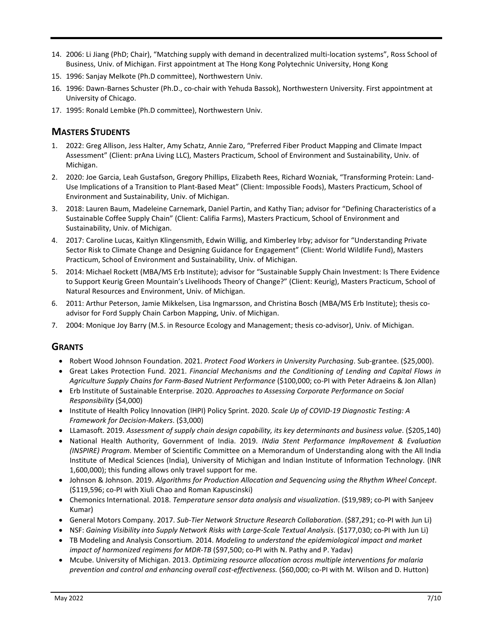- 14. 2006: Li Jiang (PhD; Chair), "Matching supply with demand in decentralized multi-location systems", Ross School of Business, Univ. of Michigan. First appointment at The Hong Kong Polytechnic University, Hong Kong
- 15. 1996: Sanjay Melkote (Ph.D committee), Northwestern Univ.
- 16. 1996: Dawn-Barnes Schuster (Ph.D., co-chair with Yehuda Bassok), Northwestern University. First appointment at University of Chicago.
- 17. 1995: Ronald Lembke (Ph.D committee), Northwestern Univ.

## **MASTERS STUDENTS**

- 1. 2022: Greg Allison, Jess Halter, Amy Schatz, Annie Zaro, "Preferred Fiber Product Mapping and Climate Impact Assessment" (Client: prAna Living LLC), Masters Practicum, School of Environment and Sustainability, Univ. of Michigan.
- 2. 2020: Joe Garcia, Leah Gustafson, Gregory Phillips, Elizabeth Rees, Richard Wozniak, "Transforming Protein: Land-Use Implications of a Transition to Plant-Based Meat" (Client: Impossible Foods), Masters Practicum, School of Environment and Sustainability, Univ. of Michigan.
- 3. 2018: Lauren Baum, Madeleine Carnemark, Daniel Partin, and Kathy Tian; advisor for "Defining Characteristics of a Sustainable Coffee Supply Chain" (Client: Califia Farms), Masters Practicum, School of Environment and Sustainability, Univ. of Michigan.
- 4. 2017: Caroline Lucas, Kaitlyn Klingensmith, Edwin Willig, and Kimberley Irby; advisor for "Understanding Private Sector Risk to Climate Change and Designing Guidance for Engagement" (Client: World Wildlife Fund), Masters Practicum, School of Environment and Sustainability, Univ. of Michigan.
- 5. 2014: Michael Rockett (MBA/MS Erb Institute); advisor for "Sustainable Supply Chain Investment: Is There Evidence to Support Keurig Green Mountain's Livelihoods Theory of Change?" (Client: Keurig), Masters Practicum, School of Natural Resources and Environment, Univ. of Michigan.
- 6. 2011: Arthur Peterson, Jamie Mikkelsen, Lisa Ingmarsson, and Christina Bosch (MBA/MS Erb Institute); thesis coadvisor for Ford Supply Chain Carbon Mapping, Univ. of Michigan.
- 7. 2004: Monique Joy Barry (M.S. in Resource Ecology and Management; thesis co-advisor), Univ. of Michigan.

#### **GRANTS**

- Robert Wood Johnson Foundation. 2021. *Protect Food Workers in University Purchasing*. Sub-grantee. (\$25,000).
- Great Lakes Protection Fund. 2021. *Financial Mechanisms and the Conditioning of Lending and Capital Flows in Agriculture Supply Chains for Farm-Based Nutrient Performance* (\$100,000; co-PI with Peter Adraeins & Jon Allan)
- Erb Institute of Sustainable Enterprise. 2020. *Approaches to Assessing Corporate Performance on Social Responsibility* (\$4,000)
- Institute of Health Policy Innovation (IHPI) Policy Sprint. 2020. *Scale Up of COVID-19 Diagnostic Testing: A Framework for Decision-Makers*. (\$3,000)
- LLamasoft. 2019. *Assessment of supply chain design capability, its key determinants and business value*. (\$205,140)
- National Health Authority, Government of India. 2019. *INdia Stent Performance ImpRovement & Evaluation (INSPIRE) Program*. Member of Scientific Committee on a Memorandum of Understanding along with the All India Institute of Medical Sciences (India), University of Michigan and Indian Institute of Information Technology. (INR 1,600,000); this funding allows only travel support for me.
- Johnson & Johnson. 2019. *Algorithms for Production Allocation and Sequencing using the Rhythm Wheel Concept*. (\$119,596; co-PI with Xiuli Chao and Roman Kapuscinski)
- Chemonics International. 2018. *Temperature sensor data analysis and visualization*. (\$19,989; co-PI with Sanjeev Kumar)
- General Motors Company. 2017. *Sub-Tier Network Structure Research Collaboration*. (\$87,291; co-PI with Jun Li)
- NSF: Gaining Visibility into Supply Network Risks with Large-Scale Textual Analysis. (\$177,030; co-PI with Jun Li)
- TB Modeling and Analysis Consortium. 2014. *Modeling to understand the epidemiological impact and market impact of harmonized regimens for MDR-TB* (\$97,500; co-PI with N. Pathy and P. Yadav)
- Mcube. University of Michigan. 2013. *Optimizing resource allocation across multiple interventions for malaria prevention and control and enhancing overall cost-effectiveness.* (\$60,000; co-PI with M. Wilson and D. Hutton)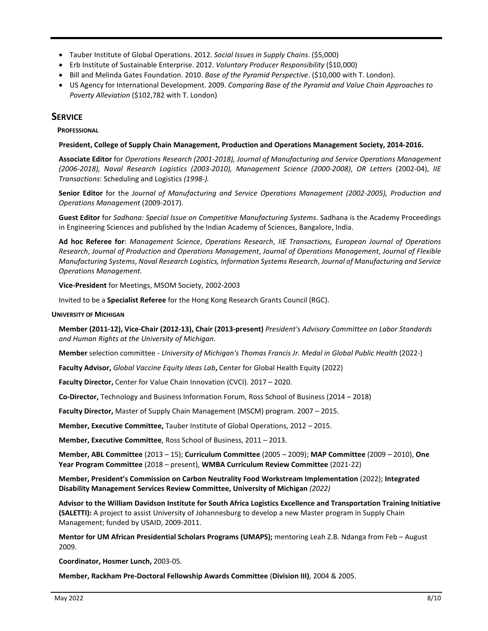- Tauber Institute of Global Operations. 2012. *Social Issues in Supply Chains*. (\$5,000)
- Erb Institute of Sustainable Enterprise. 2012. *Voluntary Producer Responsibility* (\$10,000)
- Bill and Melinda Gates Foundation. 2010. *Base of the Pyramid Perspective*. (\$10,000 with T. London).
- US Agency for International Development. 2009. *Comparing Base of the Pyramid and Value Chain Approaches to Poverty Alleviation* (\$102,782 with T. London)

#### **SERVICE**

 **PROFESSIONAL**

#### **President, College of Supply Chain Management, Production and Operations Management Society, 2014-2016.**

**Associate Editor** for *Operations Research (2001-2018), Journal of Manufacturing and Service Operations Management (2006-2018), Naval Research Logistics (2003-2010), Management Science (2000-2008)*, *OR Letters* (2002-04), *IIE Transactions*: Scheduling and Logistics *(1998-).*

**Senior Editor** for the *Journal of Manufacturing and Service Operations Management (2002-2005), Production and Operations Management* (2009-2017).

**Guest Editor** for *Sadhana: Special Issue on Competitive Manufacturing Systems*. Sadhana is the Academy Proceedings in Engineering Sciences and published by the Indian Academy of Sciences, Bangalore, India.

**Ad hoc Referee for**: *Management Science*, *Operations Research*, *IIE Transactions, European Journal of Operations Research*, *Journal of Production and Operations Management*, *Journal of Operations Management*, *Journal of Flexible Manufacturing Systems*, *Naval Research Logistics, Information Systems Research*, *Journal of Manufacturing and Service Operations Management.*

 **Vice-President** for Meetings, MSOM Society, 2002-2003

Invited to be a **Specialist Referee** for the Hong Kong Research Grants Council (RGC).

#### **UNIVERSITY OF MICHIGAN**

**Member (2011-12), Vice-Chair (2012-13), Chair (2013-present)** *President's Advisory Committee on Labor Standards and Human Rights at the University of Michigan*.

**Member** selection committee - *University of Michigan's Thomas Francis Jr. Medal in Global Public Health* (2022-)

**Faculty Advisor,** *Global Vaccine Equity Ideas Lab***,** Center for Global Health Equity (2022)

**Faculty Director,** Center for Value Chain Innovation (CVCI). 2017 – 2020.

**Co-Director,** Technology and Business Information Forum, Ross School of Business (2014 – 2018)

**Faculty Director,** Master of Supply Chain Management (MSCM) program. 2007 – 2015.

**Member, Executive Committee,** Tauber Institute of Global Operations, 2012 – 2015.

**Member, Executive Committee**, Ross School of Business, 2011 – 2013.

**Member, ABL Committee** (2013 – 15); **Curriculum Committee** (2005 – 2009); **MAP Committee** (2009 – 2010), **One Year Program Committee** (2018 – present), **WMBA Curriculum Review Committee** (2021-22)

**Member, President's Commission on Carbon Neutrality Food Workstream Implementation** (2022); **Integrated Disability Management Services Review Committee, University of Michigan** *(2022)*

**Advisor to the William Davidson Institute for South Africa Logistics Excellence and Transportation Training Initiative (SALETTI):** A project to assist University of Johannesburg to develop a new Master program in Supply Chain Management; funded by USAID, 2009-2011.

**Mentor for UM African Presidential Scholars Programs (UMAPS);** mentoring Leah Z.B. Ndanga from Feb – August 2009.

**Coordinator, Hosmer Lunch,** 2003-05.

**Member, Rackham Pre-Doctoral Fellowship Awards Committee** (**Division III)**, 2004 & 2005.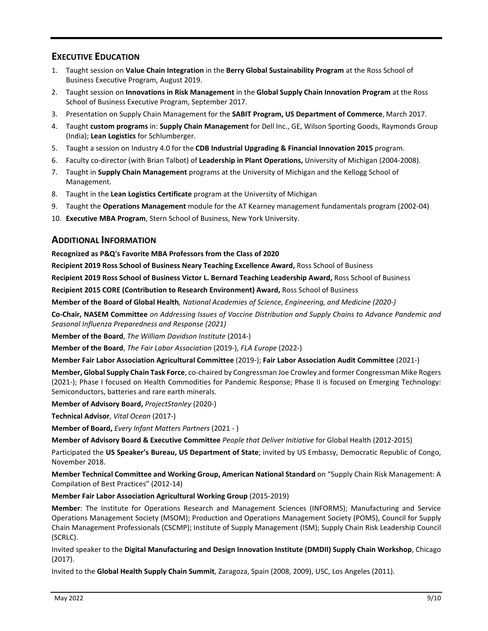# **EXECUTIVE EDUCATION**

- 1. Taught session on **Value Chain Integration** in the **Berry Global Sustainability Program** at the Ross School of Business Executive Program, August 2019.
- 2. Taught session on **Innovations in Risk Management** in the **Global Supply Chain Innovation Program** at the Ross School of Business Executive Program, September 2017.
- 3. Presentation on Supply Chain Management for the **SABIT Program, US Department of Commerce**, March 2017.
- 4. Taught **custom programs** in: **Supply Chain Management** for Dell Inc., GE, Wilson Sporting Goods, Raymonds Group (India); **Lean Logistics** for Schlumberger.
- 5. Taught a session on Industry 4.0 for the **CDB Industrial Upgrading & Financial Innovation 2015** program.
- 6. Faculty co-director (with Brian Talbot) of **Leadership in Plant Operations,** University of Michigan (2004-2008).
- 7. Taught in **Supply Chain Management** programs at the University of Michigan and the Kellogg School of Management.
- 8. Taught in the **Lean Logistics Certificate** program at the University of Michigan
- 9. Taught the **Operations Management** module for the AT Kearney management fundamentals program (2002-04)
- 10. **Executive MBA Program**, Stern School of Business, New York University.

#### **ADDITIONAL INFORMATION**

**Recognized as P&Q's Favorite MBA Professors from the Class of 2020**

**Recipient 2019 Ross School of Business Neary Teaching Excellence Award,** Ross School of Business

**Recipient 2019 Ross School of Business Victor L. Bernard Teaching Leadership Award,** Ross School of Business

**Recipient 2015 CORE (Contribution to Research Environment) Award,** Ross School of Business

**Member of the Board of Global Health***, National Academies of Science, Engineering, and Medicine (2020-)*

**Co-Chair, NASEM Committee** *on Addressing Issues of Vaccine Distribution and Supply Chains to Advance Pandemic and Seasonal Influenza Preparedness and Response (2021)*

**Member of the Board**, *The William Davidson Institute* (2014-)

**Member of the Board**, *The Fair Labor Association* (2019-), *FLA Europe* (2022-)

**Member Fair Labor Association Agricultural Committee** (2019-); **Fair Labor Association Audit Committee** (2021-)

**Member, Global Supply Chain Task Force**, co-chaired by Congressman Joe Crowley and former Congressman Mike Rogers (2021-); Phase I focused on Health Commodities for Pandemic Response; Phase II is focused on Emerging Technology: Semiconductors, batteries and rare earth minerals.

**Member of Advisory Board,** *ProjectStanley* (2020-)

**Technical Advisor**, *Vital Ocean* (2017-)

**Member of Board,** *Every Infant Matters Partners* (2021 - )

**Member of Advisory Board & Executive Committee** *People that Deliver Initiative* for Global Health (2012-2015)

Participated the **US Speaker's Bureau, US Department of State**; invited by US Embassy, Democratic Republic of Congo, November 2018.

**Member Technical Committee and Working Group, American National Standard** on "Supply Chain Risk Management: A Compilation of Best Practices" (2012-14)

**Member Fair Labor Association Agricultural Working Group** (2015-2019)

**Member**: The Institute for Operations Research and Management Sciences (INFORMS); Manufacturing and Service Operations Management Society (MSOM); Production and Operations Management Society (POMS), Council for Supply Chain Management Professionals (CSCMP); Institute of Supply Management (ISM); Supply Chain Risk Leadership Council (SCRLC).

Invited speaker to the **Digital Manufacturing and Design Innovation Institute (DMDII) Supply Chain Workshop**, Chicago (2017).

Invited to the **Global Health Supply Chain Summit**, Zaragoza, Spain (2008, 2009), USC, Los Angeles (2011).